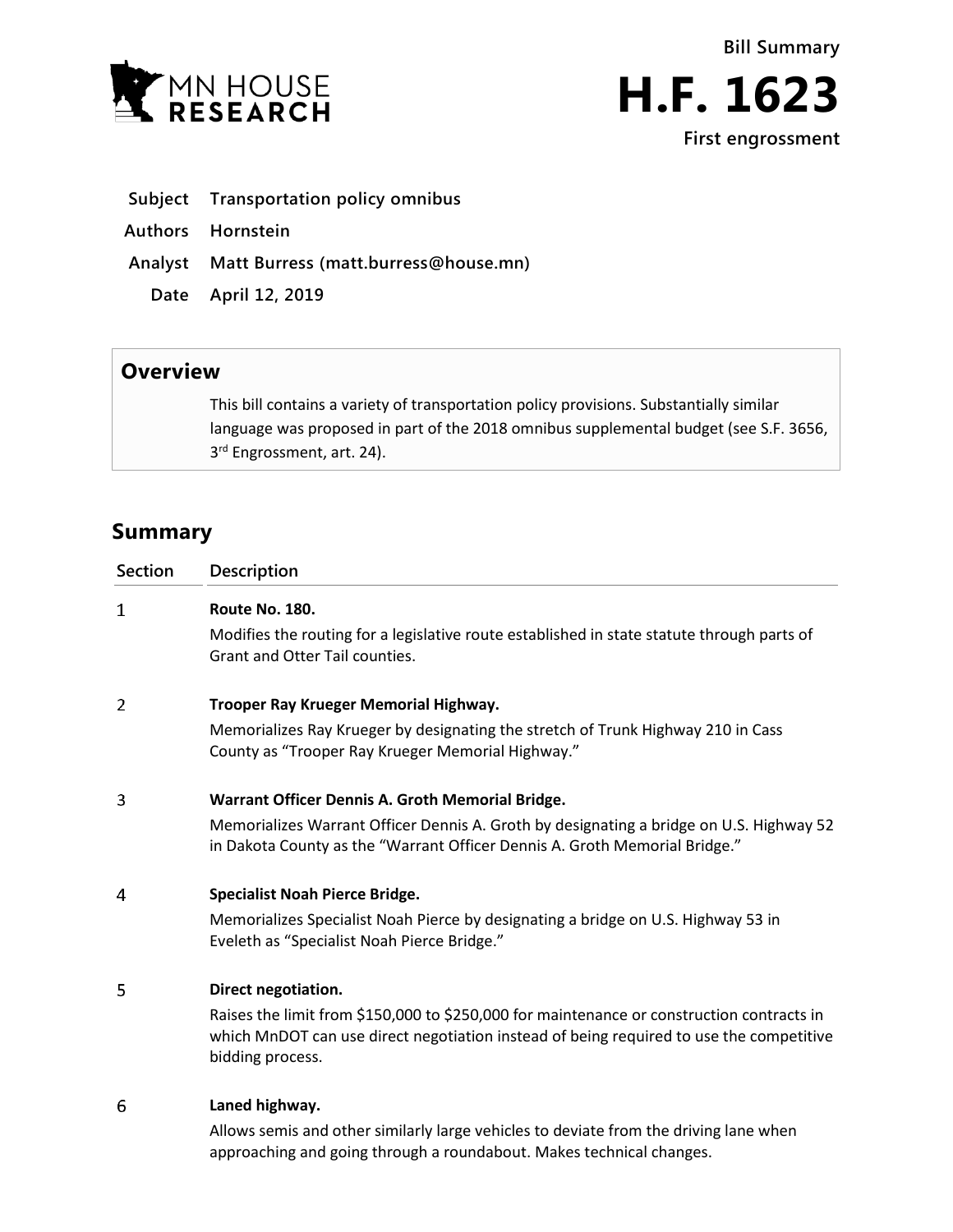



- **Subject Transportation policy omnibus**
- **Authors Hornstein**
- **Analyst Matt Burress (matt.burress@house.mn)**
	- **Date April 12, 2019**

## **Overview**

This bill contains a variety of transportation policy provisions. Substantially similar language was proposed in part of the 2018 omnibus supplemental budget (see S.F. 3656, 3<sup>rd</sup> Engrossment, art. 24).

# **Summary**

| <b>Section</b> | <b>Description</b>                                                                                                                                                                                       |
|----------------|----------------------------------------------------------------------------------------------------------------------------------------------------------------------------------------------------------|
| $\mathbf{1}$   | Route No. 180.                                                                                                                                                                                           |
|                | Modifies the routing for a legislative route established in state statute through parts of<br>Grant and Otter Tail counties.                                                                             |
| 2              | Trooper Ray Krueger Memorial Highway.                                                                                                                                                                    |
|                | Memorializes Ray Krueger by designating the stretch of Trunk Highway 210 in Cass<br>County as "Trooper Ray Krueger Memorial Highway."                                                                    |
| 3              | Warrant Officer Dennis A. Groth Memorial Bridge.                                                                                                                                                         |
|                | Memorializes Warrant Officer Dennis A. Groth by designating a bridge on U.S. Highway 52<br>in Dakota County as the "Warrant Officer Dennis A. Groth Memorial Bridge."                                    |
| 4              | <b>Specialist Noah Pierce Bridge.</b>                                                                                                                                                                    |
|                | Memorializes Specialist Noah Pierce by designating a bridge on U.S. Highway 53 in<br>Eveleth as "Specialist Noah Pierce Bridge."                                                                         |
| 5              | Direct negotiation.                                                                                                                                                                                      |
|                | Raises the limit from \$150,000 to \$250,000 for maintenance or construction contracts in<br>which MnDOT can use direct negotiation instead of being required to use the competitive<br>bidding process. |
| 6              | Laned highway.                                                                                                                                                                                           |
|                | Allows semis and other similarly large vehicles to deviate from the driving lane when                                                                                                                    |

approaching and going through a roundabout. Makes technical changes.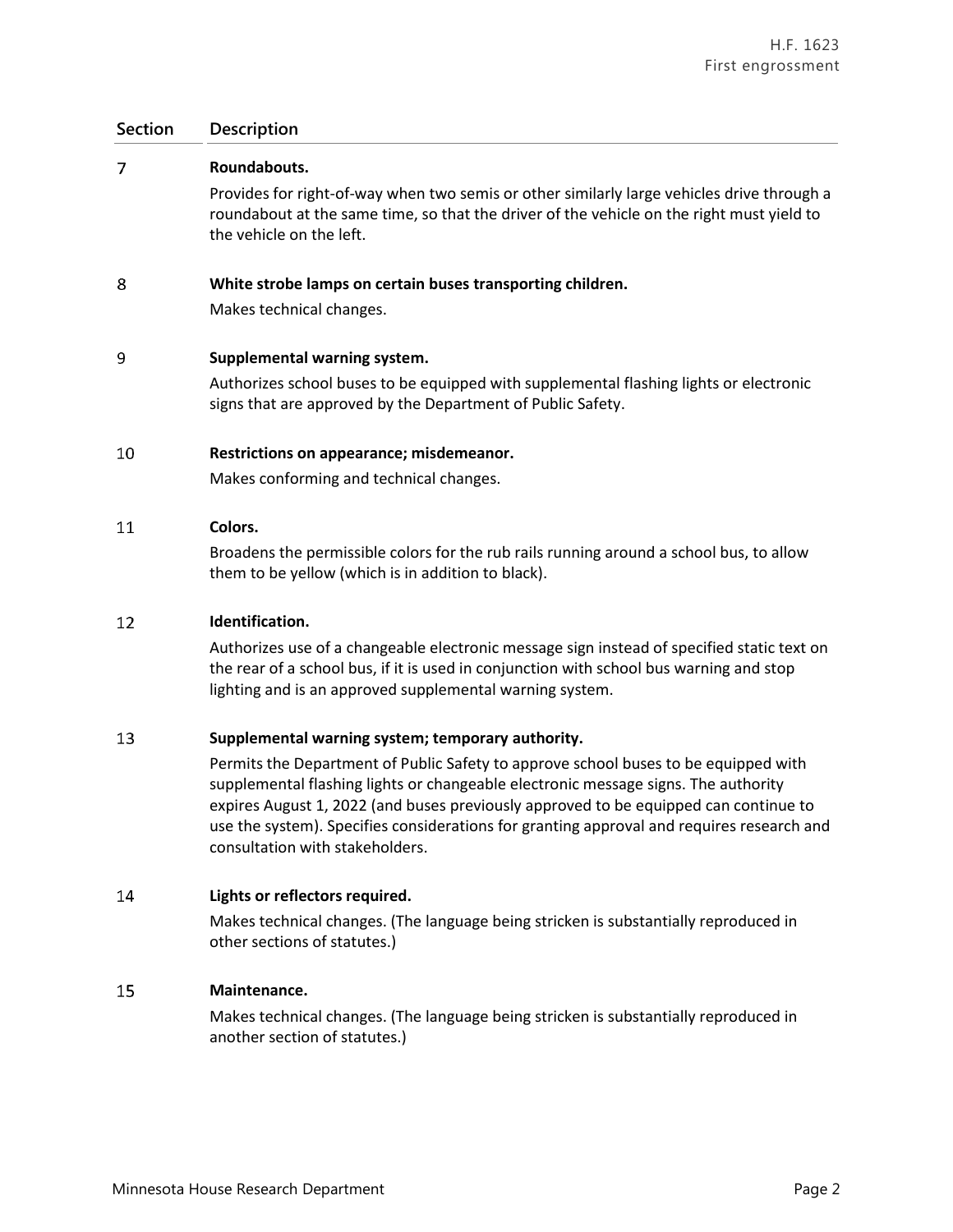| 7  | Roundabouts.                                                                                                                                                                                                        |
|----|---------------------------------------------------------------------------------------------------------------------------------------------------------------------------------------------------------------------|
|    | Provides for right-of-way when two semis or other similarly large vehicles drive through a<br>roundabout at the same time, so that the driver of the vehicle on the right must yield to<br>the vehicle on the left. |
| 8  | White strobe lamps on certain buses transporting children.                                                                                                                                                          |
|    | Makes technical changes.                                                                                                                                                                                            |
| 9  | Supplemental warning system.                                                                                                                                                                                        |
|    | Authorizes school buses to be equipped with supplemental flashing lights or electronic<br>signs that are approved by the Department of Public Safety.                                                               |
| 10 | Restrictions on appearance; misdemeanor.                                                                                                                                                                            |
|    | Makes conforming and technical changes.                                                                                                                                                                             |

#### 11 **Colors.**

Broadens the permissible colors for the rub rails running around a school bus, to allow them to be yellow (which is in addition to black).

#### 12 **Identification.**

Authorizes use of a changeable electronic message sign instead of specified static text on the rear of a school bus, if it is used in conjunction with school bus warning and stop lighting and is an approved supplemental warning system.

#### 13 **Supplemental warning system; temporary authority.**

Permits the Department of Public Safety to approve school buses to be equipped with supplemental flashing lights or changeable electronic message signs. The authority expires August 1, 2022 (and buses previously approved to be equipped can continue to use the system). Specifies considerations for granting approval and requires research and consultation with stakeholders.

#### 14 **Lights or reflectors required.**

Makes technical changes. (The language being stricken is substantially reproduced in other sections of statutes.)

#### 15 **Maintenance.**

Makes technical changes. (The language being stricken is substantially reproduced in another section of statutes.)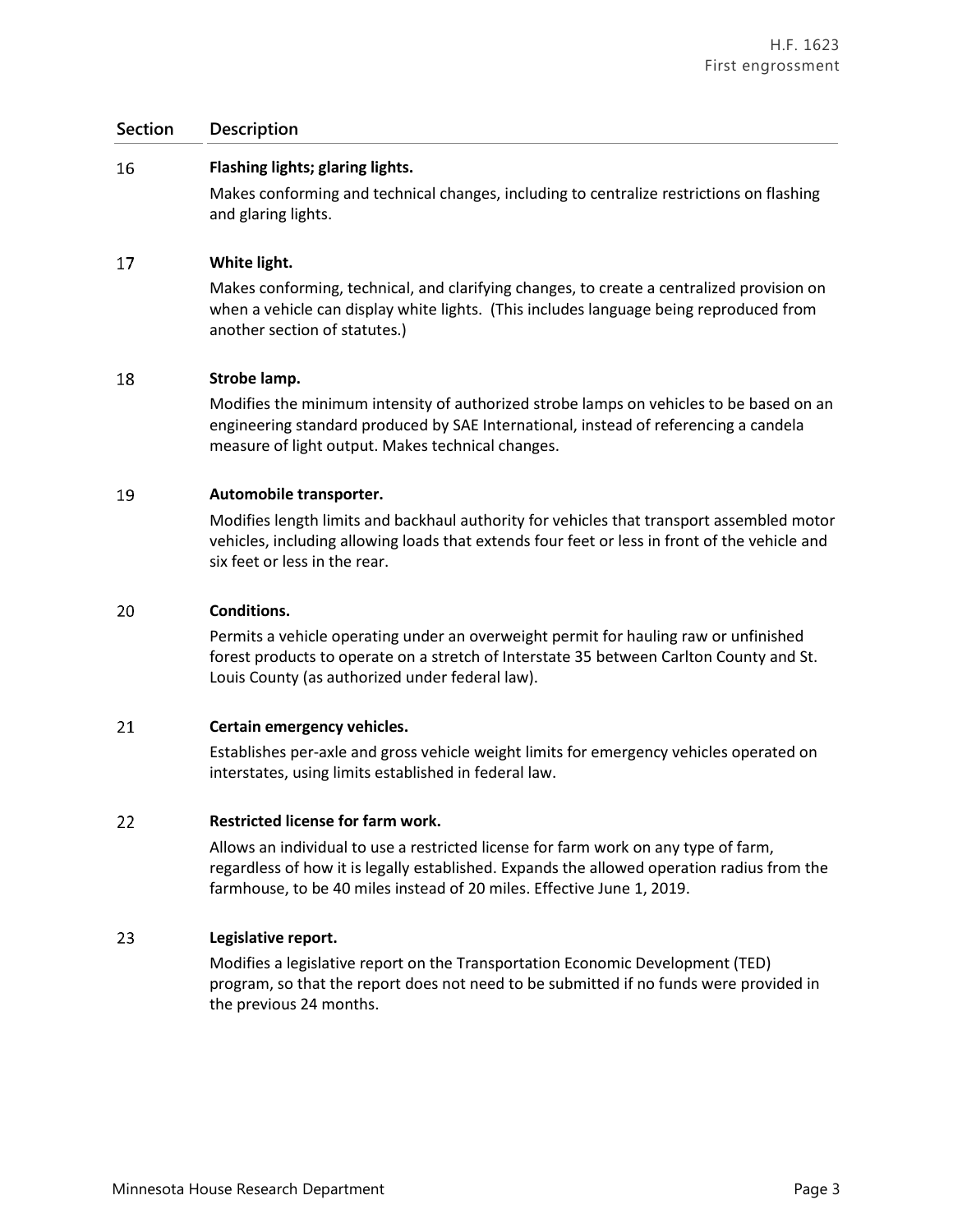#### 16 **Flashing lights; glaring lights.**

Makes conforming and technical changes, including to centralize restrictions on flashing and glaring lights.

#### 17 **White light.**

Makes conforming, technical, and clarifying changes, to create a centralized provision on when a vehicle can display white lights. (This includes language being reproduced from another section of statutes.)

#### 18 **Strobe lamp.**

Modifies the minimum intensity of authorized strobe lamps on vehicles to be based on an engineering standard produced by SAE International, instead of referencing a candela measure of light output. Makes technical changes.

#### 19 **Automobile transporter.**

Modifies length limits and backhaul authority for vehicles that transport assembled motor vehicles, including allowing loads that extends four feet or less in front of the vehicle and six feet or less in the rear.

#### 20 **Conditions.**

Permits a vehicle operating under an overweight permit for hauling raw or unfinished forest products to operate on a stretch of Interstate 35 between Carlton County and St. Louis County (as authorized under federal law).

#### 21 **Certain emergency vehicles.**

Establishes per-axle and gross vehicle weight limits for emergency vehicles operated on interstates, using limits established in federal law.

#### 22 **Restricted license for farm work.**

Allows an individual to use a restricted license for farm work on any type of farm, regardless of how it is legally established. Expands the allowed operation radius from the farmhouse, to be 40 miles instead of 20 miles. Effective June 1, 2019.

#### 23 **Legislative report.**

Modifies a legislative report on the Transportation Economic Development (TED) program, so that the report does not need to be submitted if no funds were provided in the previous 24 months.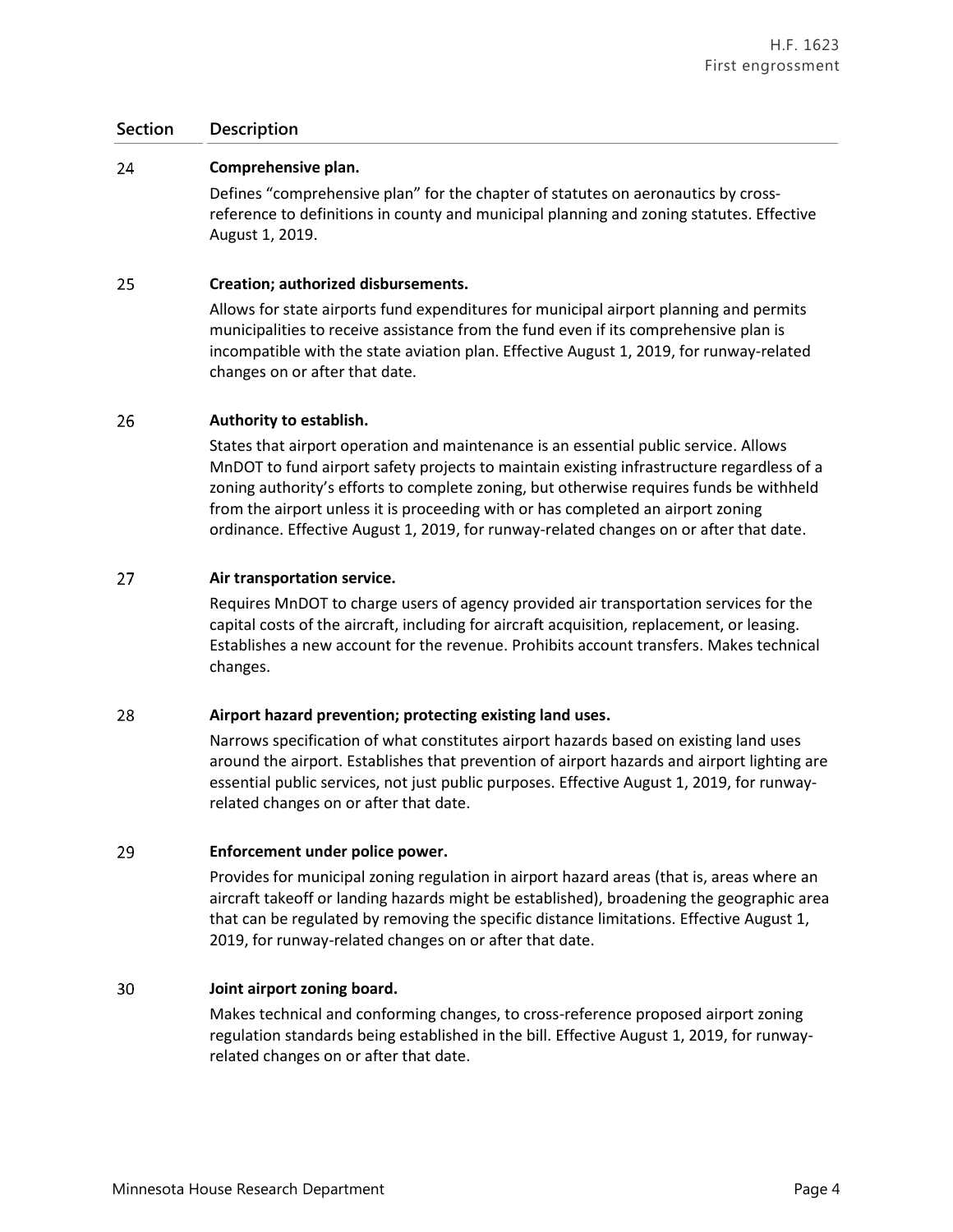#### 24 **Comprehensive plan.**

Defines "comprehensive plan" for the chapter of statutes on aeronautics by crossreference to definitions in county and municipal planning and zoning statutes. Effective August 1, 2019.

#### 25 **Creation; authorized disbursements.**

Allows for state airports fund expenditures for municipal airport planning and permits municipalities to receive assistance from the fund even if its comprehensive plan is incompatible with the state aviation plan. Effective August 1, 2019, for runway-related changes on or after that date.

#### 26 **Authority to establish.**

States that airport operation and maintenance is an essential public service. Allows MnDOT to fund airport safety projects to maintain existing infrastructure regardless of a zoning authority's efforts to complete zoning, but otherwise requires funds be withheld from the airport unless it is proceeding with or has completed an airport zoning ordinance. Effective August 1, 2019, for runway-related changes on or after that date.

#### 27 **Air transportation service.**

Requires MnDOT to charge users of agency provided air transportation services for the capital costs of the aircraft, including for aircraft acquisition, replacement, or leasing. Establishes a new account for the revenue. Prohibits account transfers. Makes technical changes.

#### 28 **Airport hazard prevention; protecting existing land uses.**

Narrows specification of what constitutes airport hazards based on existing land uses around the airport. Establishes that prevention of airport hazards and airport lighting are essential public services, not just public purposes. Effective August 1, 2019, for runwayrelated changes on or after that date.

#### 29 **Enforcement under police power.**

Provides for municipal zoning regulation in airport hazard areas (that is, areas where an aircraft takeoff or landing hazards might be established), broadening the geographic area that can be regulated by removing the specific distance limitations. Effective August 1, 2019, for runway-related changes on or after that date.

#### 30 **Joint airport zoning board.**

Makes technical and conforming changes, to cross-reference proposed airport zoning regulation standards being established in the bill. Effective August 1, 2019, for runwayrelated changes on or after that date.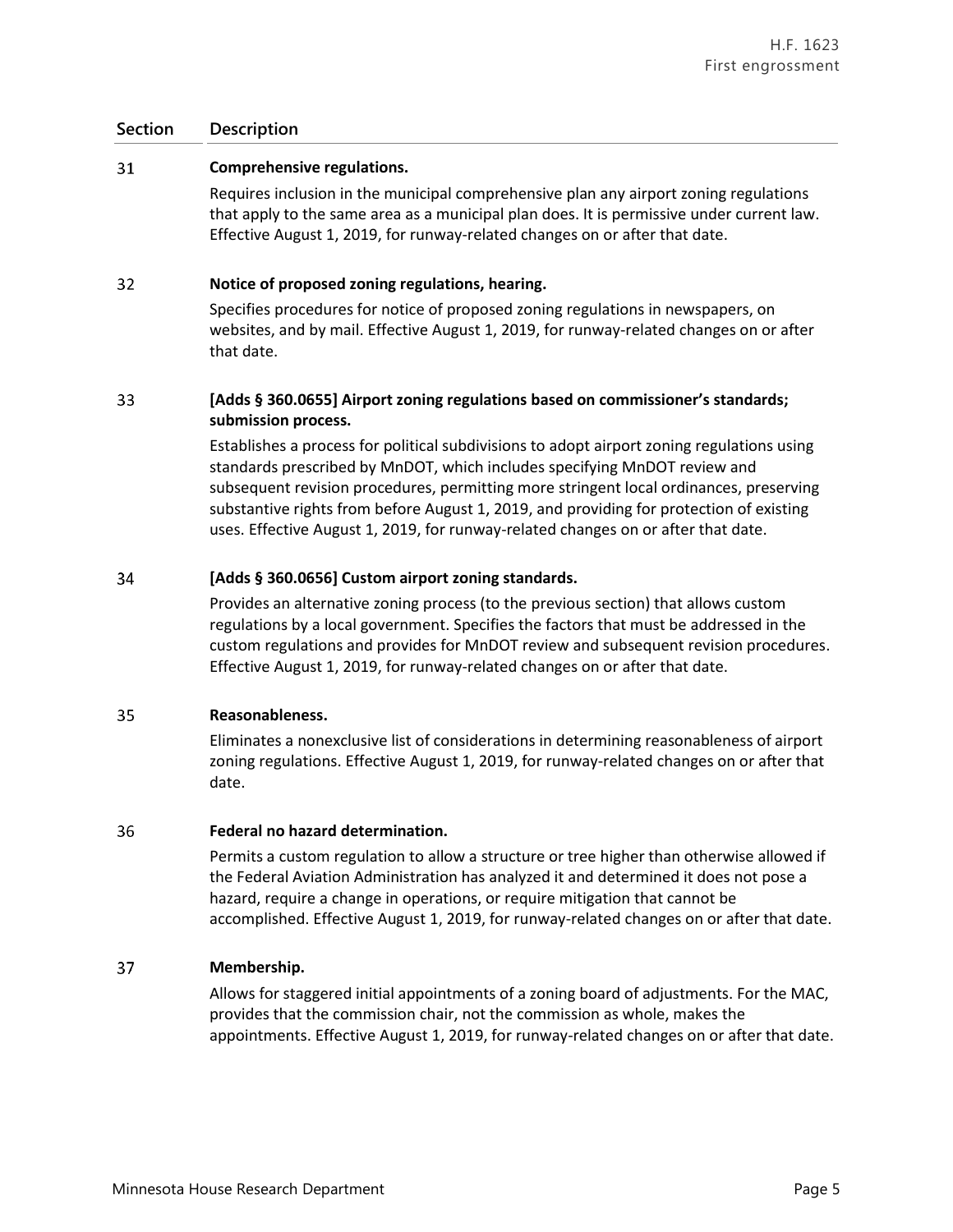#### 31 **Comprehensive regulations.**

Requires inclusion in the municipal comprehensive plan any airport zoning regulations that apply to the same area as a municipal plan does. It is permissive under current law. Effective August 1, 2019, for runway-related changes on or after that date.

#### 32 **Notice of proposed zoning regulations, hearing.**

Specifies procedures for notice of proposed zoning regulations in newspapers, on websites, and by mail. Effective August 1, 2019, for runway-related changes on or after that date.

### 33 **[Adds § 360.0655] Airport zoning regulations based on commissioner's standards; submission process.**

Establishes a process for political subdivisions to adopt airport zoning regulations using standards prescribed by MnDOT, which includes specifying MnDOT review and subsequent revision procedures, permitting more stringent local ordinances, preserving substantive rights from before August 1, 2019, and providing for protection of existing uses. Effective August 1, 2019, for runway-related changes on or after that date.

#### 34 **[Adds § 360.0656] Custom airport zoning standards.**

Provides an alternative zoning process (to the previous section) that allows custom regulations by a local government. Specifies the factors that must be addressed in the custom regulations and provides for MnDOT review and subsequent revision procedures. Effective August 1, 2019, for runway-related changes on or after that date.

#### 35 **Reasonableness.**

Eliminates a nonexclusive list of considerations in determining reasonableness of airport zoning regulations. Effective August 1, 2019, for runway-related changes on or after that date.

#### 36 **Federal no hazard determination.**

Permits a custom regulation to allow a structure or tree higher than otherwise allowed if the Federal Aviation Administration has analyzed it and determined it does not pose a hazard, require a change in operations, or require mitigation that cannot be accomplished. Effective August 1, 2019, for runway-related changes on or after that date.

#### 37 **Membership.**

Allows for staggered initial appointments of a zoning board of adjustments. For the MAC, provides that the commission chair, not the commission as whole, makes the appointments. Effective August 1, 2019, for runway-related changes on or after that date.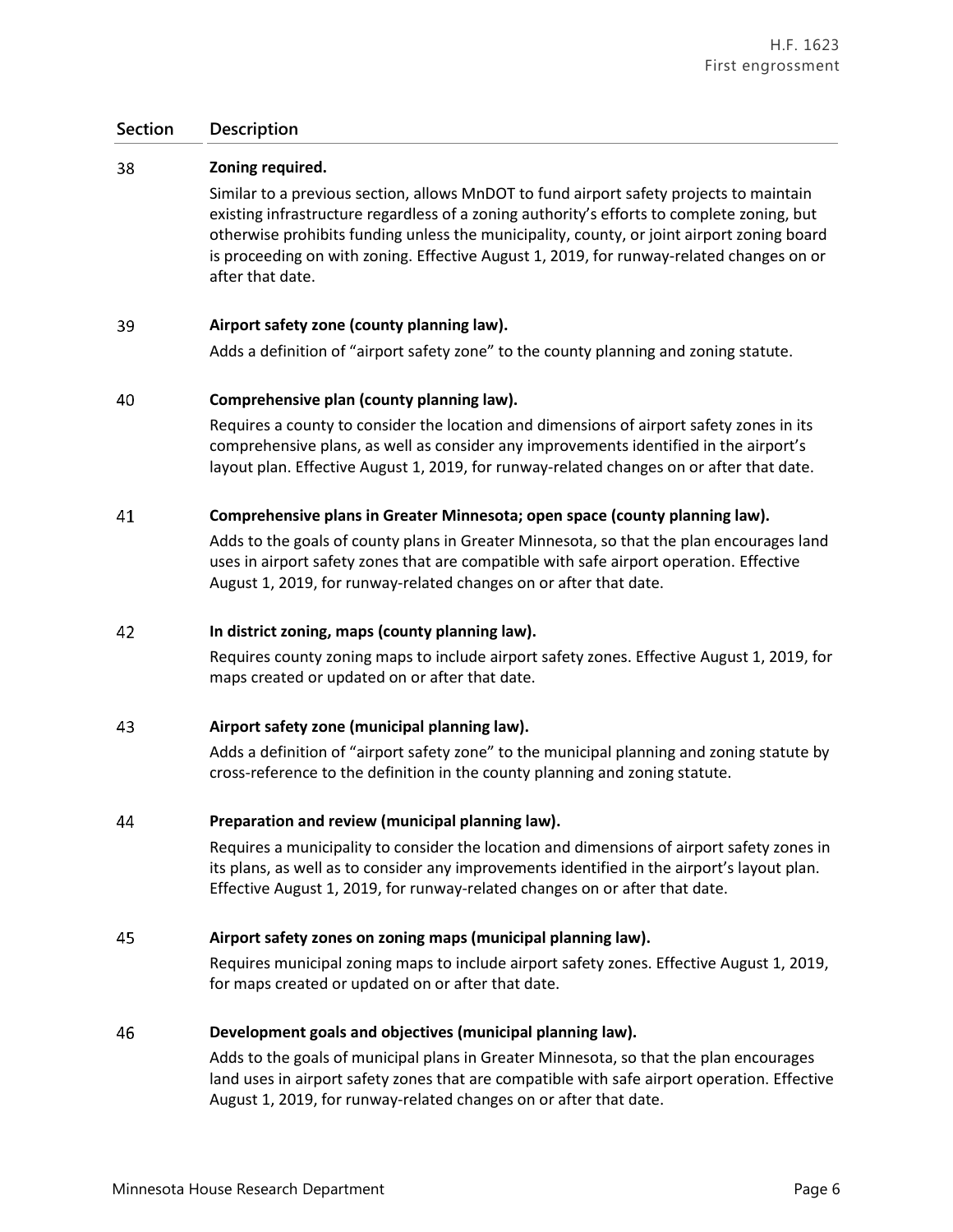#### 38 **Zoning required.**

Similar to a previous section, allows MnDOT to fund airport safety projects to maintain existing infrastructure regardless of a zoning authority's efforts to complete zoning, but otherwise prohibits funding unless the municipality, county, or joint airport zoning board is proceeding on with zoning. Effective August 1, 2019, for runway-related changes on or after that date.

#### 39 **Airport safety zone (county planning law).**

Adds a definition of "airport safety zone" to the county planning and zoning statute.

#### 40 **Comprehensive plan (county planning law).**

Requires a county to consider the location and dimensions of airport safety zones in its comprehensive plans, as well as consider any improvements identified in the airport's layout plan. Effective August 1, 2019, for runway-related changes on or after that date.

#### 41 **Comprehensive plans in Greater Minnesota; open space (county planning law).**

Adds to the goals of county plans in Greater Minnesota, so that the plan encourages land uses in airport safety zones that are compatible with safe airport operation. Effective August 1, 2019, for runway-related changes on or after that date.

#### 42 **In district zoning, maps (county planning law).**

Requires county zoning maps to include airport safety zones. Effective August 1, 2019, for maps created or updated on or after that date.

#### 43 **Airport safety zone (municipal planning law).**

Adds a definition of "airport safety zone" to the municipal planning and zoning statute by cross-reference to the definition in the county planning and zoning statute.

#### 44 **Preparation and review (municipal planning law).**

Requires a municipality to consider the location and dimensions of airport safety zones in its plans, as well as to consider any improvements identified in the airport's layout plan. Effective August 1, 2019, for runway-related changes on or after that date.

#### 45 **Airport safety zones on zoning maps (municipal planning law).**

Requires municipal zoning maps to include airport safety zones. Effective August 1, 2019, for maps created or updated on or after that date.

#### 46 **Development goals and objectives (municipal planning law).**

Adds to the goals of municipal plans in Greater Minnesota, so that the plan encourages land uses in airport safety zones that are compatible with safe airport operation. Effective August 1, 2019, for runway-related changes on or after that date.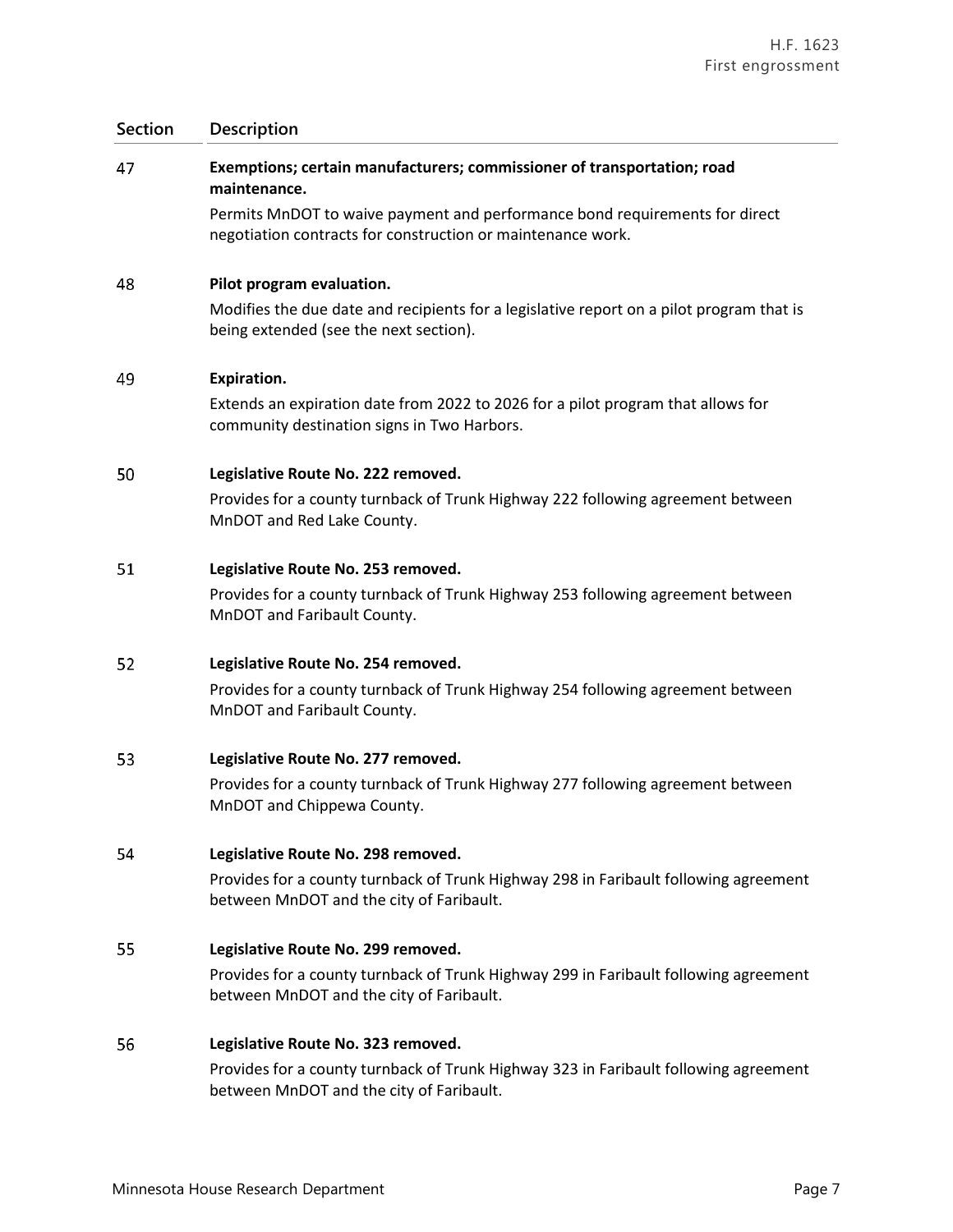## **Section Description** 47 **Exemptions; certain manufacturers; commissioner of transportation; road maintenance.**  Permits MnDOT to waive payment and performance bond requirements for direct negotiation contracts for construction or maintenance work. 48 **Pilot program evaluation.** Modifies the due date and recipients for a legislative report on a pilot program that is being extended (see the next section). 49 **Expiration.** Extends an expiration date from 2022 to 2026 for a pilot program that allows for community destination signs in Two Harbors. 50 **Legislative Route No. 222 removed.** Provides for a county turnback of Trunk Highway 222 following agreement between MnDOT and Red Lake County. 51 **Legislative Route No. 253 removed.** Provides for a county turnback of Trunk Highway 253 following agreement between MnDOT and Faribault County. 52 **Legislative Route No. 254 removed.** Provides for a county turnback of Trunk Highway 254 following agreement between MnDOT and Faribault County. 53 **Legislative Route No. 277 removed.** Provides for a county turnback of Trunk Highway 277 following agreement between MnDOT and Chippewa County. 54 **Legislative Route No. 298 removed.** Provides for a county turnback of Trunk Highway 298 in Faribault following agreement between MnDOT and the city of Faribault. 55 **Legislative Route No. 299 removed.** Provides for a county turnback of Trunk Highway 299 in Faribault following agreement between MnDOT and the city of Faribault.

#### 56 **Legislative Route No. 323 removed.**

Provides for a county turnback of Trunk Highway 323 in Faribault following agreement between MnDOT and the city of Faribault.